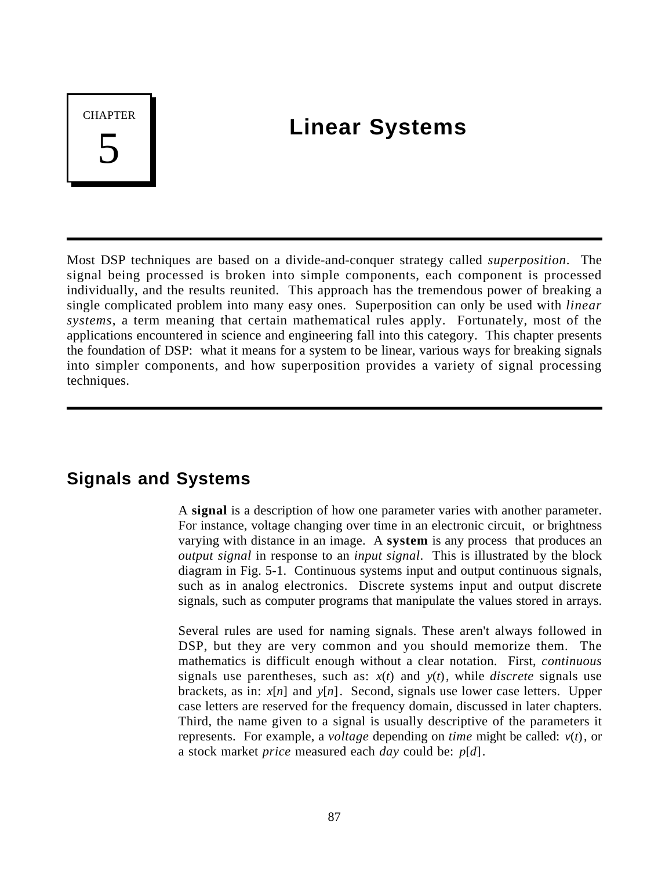# **CHAPTER** 5

## **Linear Systems**

Most DSP techniques are based on a divide-and-conquer strategy called *superposition*. The signal being processed is broken into simple components, each component is processed individually, and the results reunited. This approach has the tremendous power of breaking a single complicated problem into many easy ones. Superposition can only be used with *linear systems*, a term meaning that certain mathematical rules apply. Fortunately, most of the applications encountered in science and engineering fall into this category. This chapter presents the foundation of DSP: what it means for a system to be linear, various ways for breaking signals into simpler components, and how superposition provides a variety of signal processing techniques.

## **Signals and Systems**

A **signal** is a description of how one parameter varies with another parameter. For instance, voltage changing over time in an electronic circuit, or brightness varying with distance in an image. A **system** is any process that produces an *output signal* in response to an *input signal*. This is illustrated by the block diagram in Fig. 5-1. Continuous systems input and output continuous signals, such as in analog electronics. Discrete systems input and output discrete signals, such as computer programs that manipulate the values stored in arrays.

Several rules are used for naming signals. These aren't always followed in DSP, but they are very common and you should memorize them. The mathematics is difficult enough without a clear notation. First, *continuous* signals use parentheses, such as:  $x(t)$  and  $y(t)$ , while *discrete* signals use brackets, as in: *x*[*n*] and *y*[*n*]. Second, signals use lower case letters. Upper case letters are reserved for the frequency domain, discussed in later chapters. Third, the name given to a signal is usually descriptive of the parameters it represents. For example, a *voltage* depending on *time* might be called: *v*(*t*), or a stock market *price* measured each *day* could be: *p*[*d*].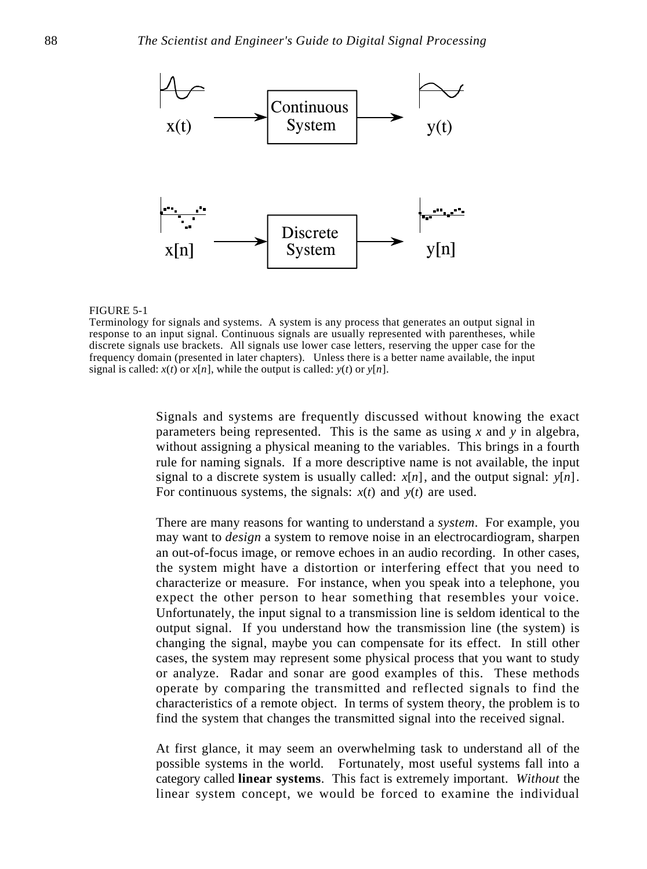

#### FIGURE 5-1

Terminology for signals and systems. A system is any process that generates an output signal in response to an input signal. Continuous signals are usually represented with parentheses, while discrete signals use brackets. All signals use lower case letters, reserving the upper case for the frequency domain (presented in later chapters). Unless there is a better name available, the input signal is called:  $x(t)$  or  $x[n]$ , while the output is called:  $y(t)$  or  $y[n]$ .

Signals and systems are frequently discussed without knowing the exact parameters being represented. This is the same as using *x* and *y* in algebra, without assigning a physical meaning to the variables. This brings in a fourth rule for naming signals. If a more descriptive name is not available, the input signal to a discrete system is usually called:  $x[n]$ , and the output signal:  $y[n]$ . For continuous systems, the signals:  $x(t)$  and  $y(t)$  are used.

There are many reasons for wanting to understand a *system*. For example, you may want to *design* a system to remove noise in an electrocardiogram, sharpen an out-of-focus image, or remove echoes in an audio recording. In other cases, the system might have a distortion or interfering effect that you need to characterize or measure. For instance, when you speak into a telephone, you expect the other person to hear something that resembles your voice. Unfortunately, the input signal to a transmission line is seldom identical to the output signal. If you understand how the transmission line (the system) is changing the signal, maybe you can compensate for its effect. In still other cases, the system may represent some physical process that you want to study or analyze. Radar and sonar are good examples of this. These methods operate by comparing the transmitted and reflected signals to find the characteristics of a remote object. In terms of system theory, the problem is to find the system that changes the transmitted signal into the received signal.

At first glance, it may seem an overwhelming task to understand all of the possible systems in the world. Fortunately, most useful systems fall into a category called **linear systems**. This fact is extremely important. *Without* the linear system concept, we would be forced to examine the individual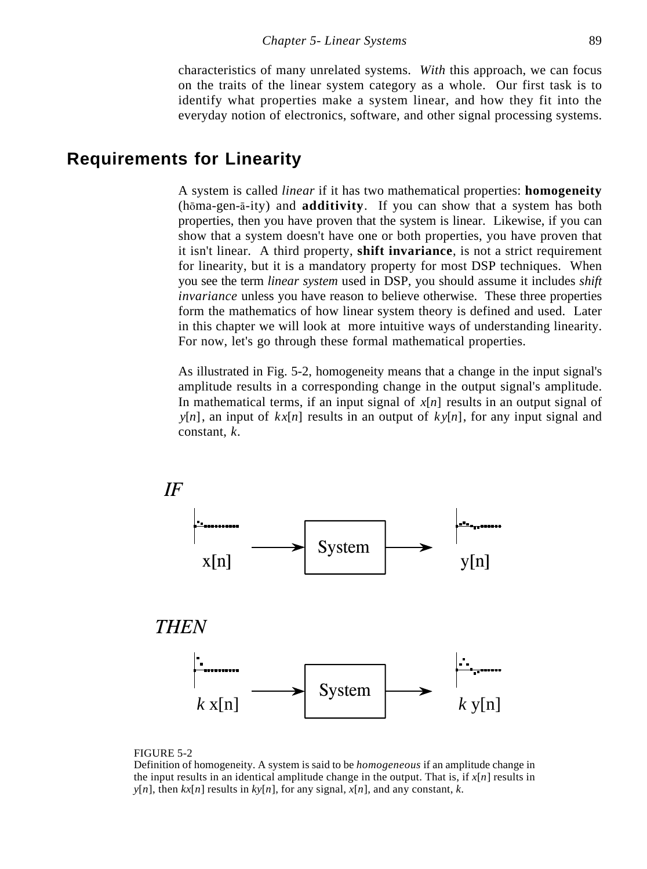characteristics of many unrelated systems. *With* this approach, we can focus on the traits of the linear system category as a whole. Our first task is to identify what properties make a system linear, and how they fit into the everyday notion of electronics, software, and other signal processing systems.

## **Requirements for Linearity**

A system is called *linear* if it has two mathematical properties: **homogeneity** (hōma-gen- $\bar{a}$ -ity) and **additivity**. If you can show that a system has both properties, then you have proven that the system is linear. Likewise, if you can show that a system doesn't have one or both properties, you have proven that it isn't linear. A third property, **shift invariance**, is not a strict requirement for linearity, but it is a mandatory property for most DSP techniques. When you see the term *linear system* used in DSP, you should assume it includes *shift invariance* unless you have reason to believe otherwise. These three properties form the mathematics of how linear system theory is defined and used. Later in this chapter we will look at more intuitive ways of understanding linearity. For now, let's go through these formal mathematical properties.

As illustrated in Fig. 5-2, homogeneity means that a change in the input signal's amplitude results in a corresponding change in the output signal's amplitude. In mathematical terms, if an input signal of *x*[*n*] results in an output signal of *y*[*n*], an input of  $kx[n]$  results in an output of  $ky[n]$ , for any input signal and constant, *k*.



#### FIGURE 5-2

Definition of homogeneity. A system is said to be *homogeneous* if an amplitude change in the input results in an identical amplitude change in the output. That is, if  $x[n]$  results in *y*[*n*], then *kx*[*n*] results in *ky*[*n*], for any signal, *x*[*n*], and any constant, *k*.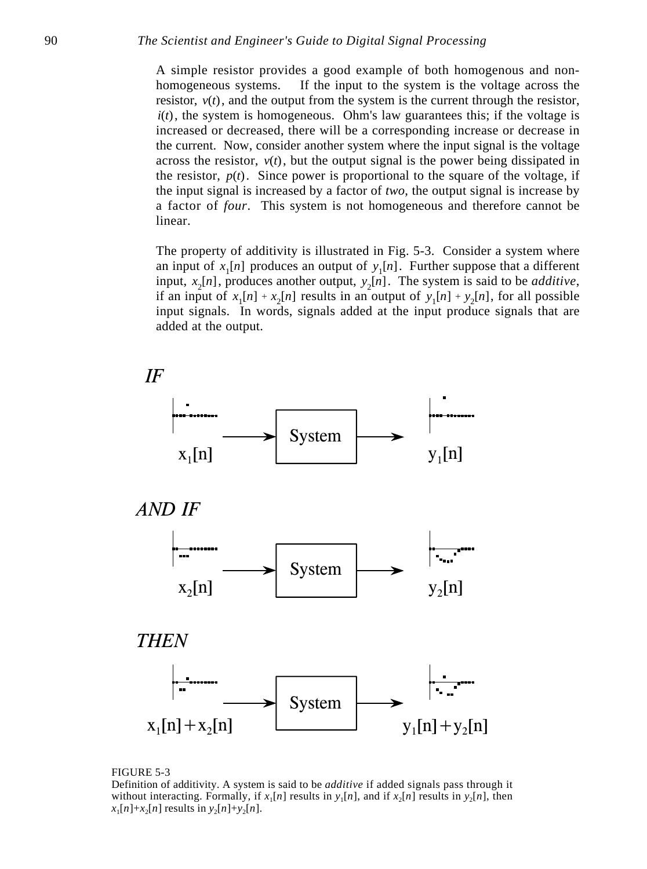A simple resistor provides a good example of both homogenous and nonhomogeneous systems. If the input to the system is the voltage across the resistor,  $v(t)$ , and the output from the system is the current through the resistor,  $i(t)$ , the system is homogeneous. Ohm's law guarantees this; if the voltage is increased or decreased, there will be a corresponding increase or decrease in the current. Now, consider another system where the input signal is the voltage across the resistor,  $v(t)$ , but the output signal is the power being dissipated in the resistor,  $p(t)$ . Since power is proportional to the square of the voltage, if the input signal is increased by a factor of *two*, the output signal is increase by a factor of *four*. This system is not homogeneous and therefore cannot be linear.

The property of additivity is illustrated in Fig. 5-3. Consider a system where an input of  $x_1[n]$  produces an output of  $y_1[n]$ . Further suppose that a different input,  $x_2[n]$ , produces another output,  $y_2[n]$ . The system is said to be *additive*, if an input of  $x_1[n] + x_2[n]$  results in an output of  $y_1[n] + y_2[n]$ , for all possible input signals. In words, signals added at the input produce signals that are added at the output.



FIGURE 5-3

Definition of additivity. A system is said to be *additive* if added signals pass through it without interacting. Formally, if  $x_1[n]$  results in  $y_1[n]$ , and if  $x_2[n]$  results in  $y_2[n]$ , then  $x_1[n] + x_2[n]$  results in  $y_2[n] + y_2[n]$ .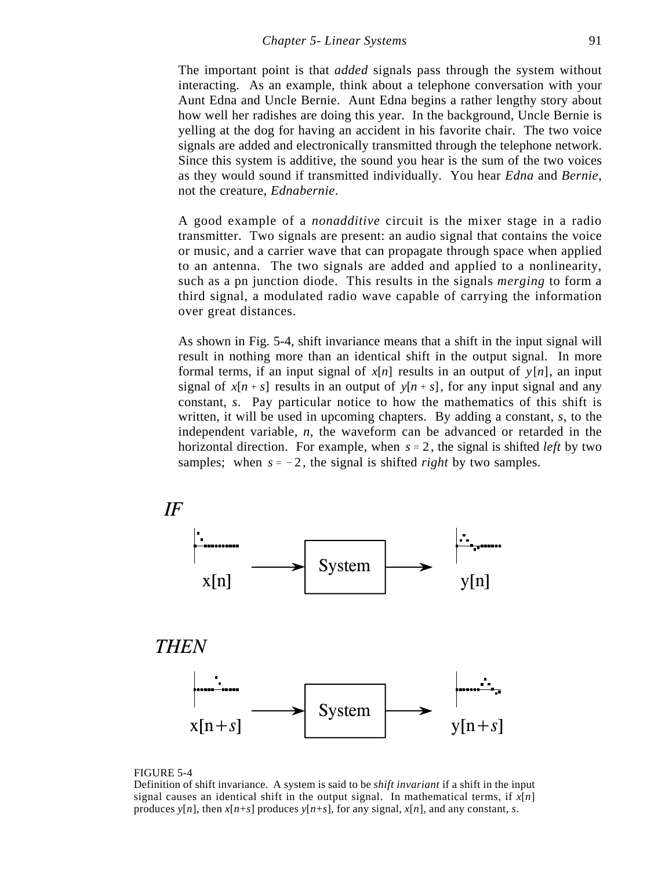The important point is that *added* signals pass through the system without interacting. As an example, think about a telephone conversation with your Aunt Edna and Uncle Bernie. Aunt Edna begins a rather lengthy story about how well her radishes are doing this year. In the background, Uncle Bernie is yelling at the dog for having an accident in his favorite chair. The two voice signals are added and electronically transmitted through the telephone network. Since this system is additive, the sound you hear is the sum of the two voices as they would sound if transmitted individually. You hear *Edna* and *Bernie*, not the creature, *Ednabernie*.

A good example of a *nonadditive* circuit is the mixer stage in a radio transmitter. Two signals are present: an audio signal that contains the voice or music, and a carrier wave that can propagate through space when applied to an antenna. The two signals are added and applied to a nonlinearity, such as a pn junction diode. This results in the signals *merging* to form a third signal, a modulated radio wave capable of carrying the information over great distances.

As shown in Fig. 5-4, shift invariance means that a shift in the input signal will result in nothing more than an identical shift in the output signal. In more formal terms, if an input signal of  $x[n]$  results in an output of  $y[n]$ , an input signal of  $x[n+s]$  results in an output of  $y[n+s]$ , for any input signal and any constant, *s*. Pay particular notice to how the mathematics of this shift is written, it will be used in upcoming chapters. By adding a constant, *s*, to the independent variable, *n*, the waveform can be advanced or retarded in the horizontal direction. For example, when  $s = 2$ , the signal is shifted *left* by two samples; when  $s = -2$ , the signal is shifted *right* by two samples.



## FIGURE 5-4

Definition of shift invariance. A system is said to be *shift invariant* if a shift in the input signal causes an identical shift in the output signal. In mathematical terms, if  $x[n]$ produces *y*[*n*], then *x*[*n*+*s*] produces *y*[*n*+*s*], for any signal, *x*[*n*], and any constant, *s*.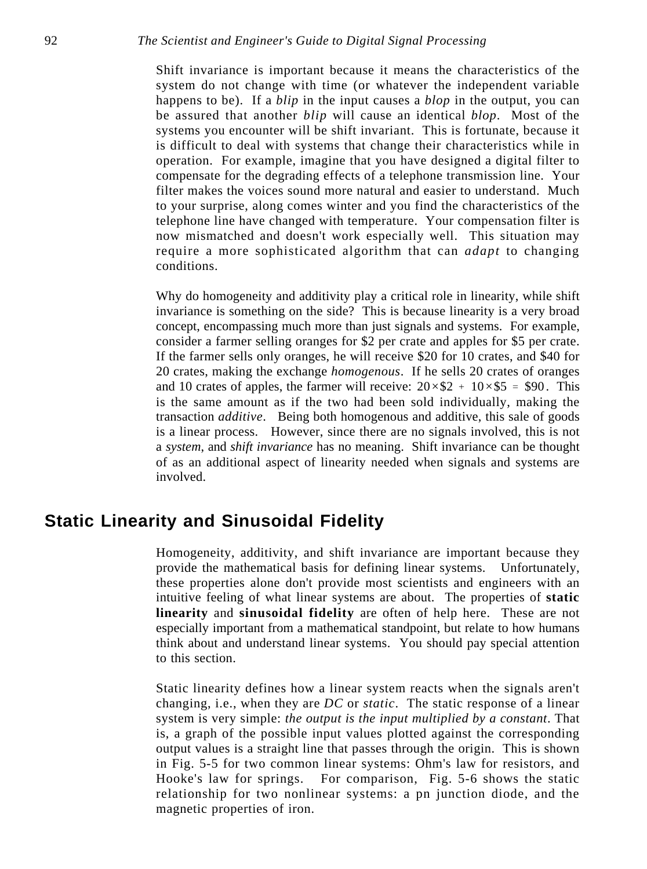Shift invariance is important because it means the characteristics of the system do not change with time (or whatever the independent variable happens to be). If a *blip* in the input causes a *blop* in the output, you can be assured that another *blip* will cause an identical *blop*. Most of the systems you encounter will be shift invariant. This is fortunate, because it is difficult to deal with systems that change their characteristics while in operation. For example, imagine that you have designed a digital filter to compensate for the degrading effects of a telephone transmission line. Your filter makes the voices sound more natural and easier to understand. Much to your surprise, along comes winter and you find the characteristics of the telephone line have changed with temperature. Your compensation filter is now mismatched and doesn't work especially well. This situation may require a more sophisticated algorithm that can *adapt* to changing conditions.

Why do homogeneity and additivity play a critical role in linearity, while shift invariance is something on the side? This is because linearity is a very broad concept, encompassing much more than just signals and systems. For example, consider a farmer selling oranges for \$2 per crate and apples for \$5 per crate. If the farmer sells only oranges, he will receive \$20 for 10 crates, and \$40 for 20 crates, making the exchange *homogenous*. If he sells 20 crates of oranges and 10 crates of apples, the farmer will receive:  $20 \times $2 + 10 \times $5 = $90$ . This is the same amount as if the two had been sold individually, making the transaction *additive*. Being both homogenous and additive, this sale of goods is a linear process. However, since there are no signals involved, this is not a *system*, and *shift invariance* has no meaning. Shift invariance can be thought of as an additional aspect of linearity needed when signals and systems are involved.

## **Static Linearity and Sinusoidal Fidelity**

Homogeneity, additivity, and shift invariance are important because they provide the mathematical basis for defining linear systems. Unfortunately, these properties alone don't provide most scientists and engineers with an intuitive feeling of what linear systems are about. The properties of **static linearity** and **sinusoidal fidelity** are often of help here. These are not especially important from a mathematical standpoint, but relate to how humans think about and understand linear systems. You should pay special attention to this section.

Static linearity defines how a linear system reacts when the signals aren't changing, i.e., when they are *DC* or *static*. The static response of a linear system is very simple: *the output is the input multiplied by a constant*. That is, a graph of the possible input values plotted against the corresponding output values is a straight line that passes through the origin. This is shown in Fig. 5-5 for two common linear systems: Ohm's law for resistors, and Hooke's law for springs. For comparison, Fig. 5-6 shows the static relationship for two nonlinear systems: a pn junction diode, and the magnetic properties of iron.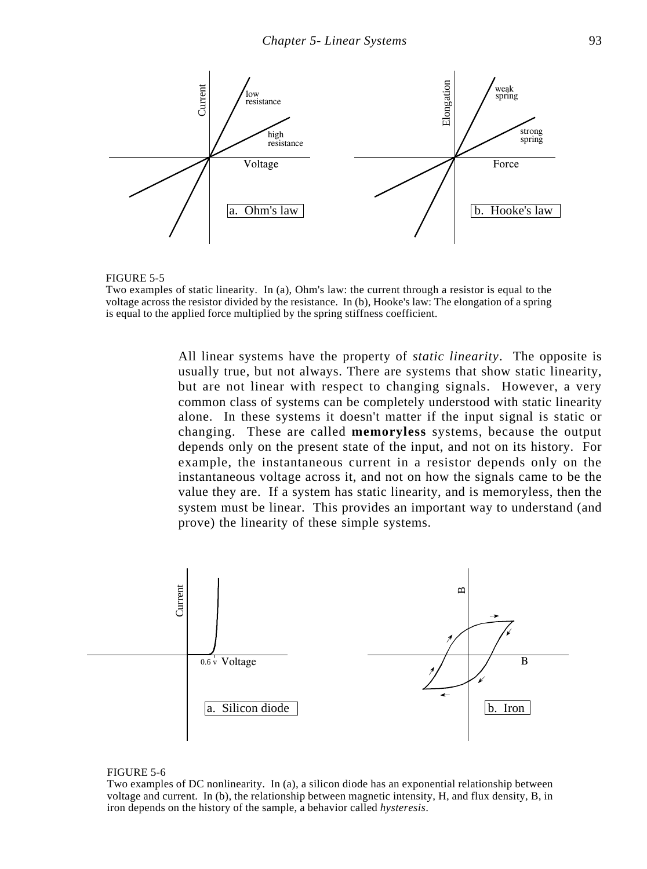



Two examples of static linearity. In (a), Ohm's law: the current through a resistor is equal to the voltage across the resistor divided by the resistance. In (b), Hooke's law: The elongation of a spring

All linear systems have the property of *static linearity*. The opposite is usually true, but not always. There are systems that show static linearity, but are not linear with respect to changing signals. However, a very common class of systems can be completely understood with static linearity alone. In these systems it doesn't matter if the input signal is static or changing. These are called **memoryless** systems, because the output depends only on the present state of the input, and not on its history. For example, the instantaneous current in a resistor depends only on the instantaneous voltage across it, and not on how the signals came to be the value they are. If a system has static linearity, and is memoryless, then the system must be linear. This provides an important way to understand (and prove) the linearity of these simple systems.



#### FIGURE 5-6

Two examples of DC nonlinearity. In (a), a silicon diode has an exponential relationship between voltage and current. In (b), the relationship between magnetic intensity, H, and flux density, B, in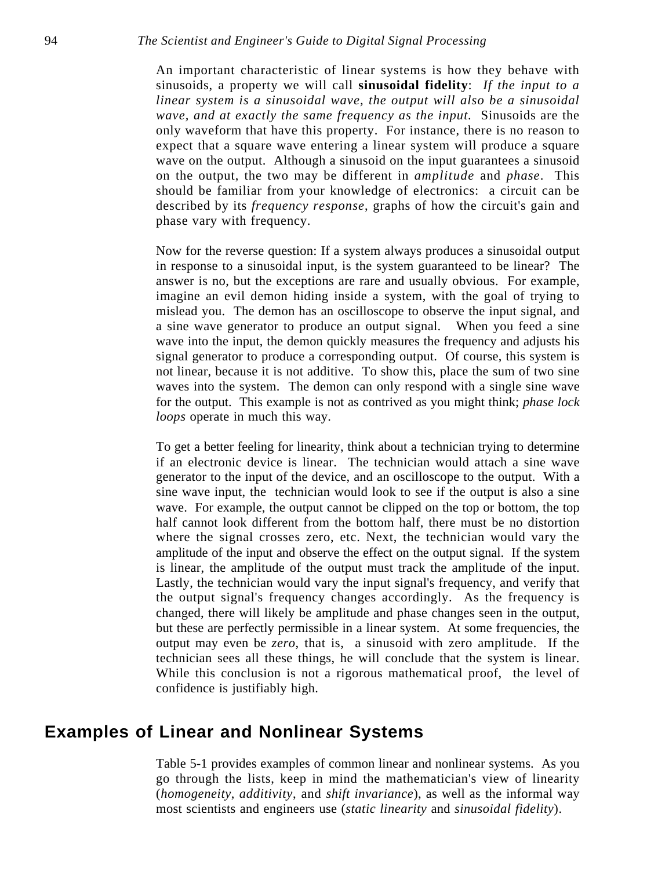An important characteristic of linear systems is how they behave with sinusoids, a property we will call **sinusoidal fidelity**: *If the input to a linear system is a sinusoidal wave, the output will also be a sinusoidal wave, and at exactly the same frequency as the input.* Sinusoids are the only waveform that have this property. For instance, there is no reason to expect that a square wave entering a linear system will produce a square wave on the output. Although a sinusoid on the input guarantees a sinusoid on the output, the two may be different in *amplitude* and *phase*. This should be familiar from your knowledge of electronics: a circuit can be described by its *frequency response*, graphs of how the circuit's gain and phase vary with frequency.

Now for the reverse question: If a system always produces a sinusoidal output in response to a sinusoidal input, is the system guaranteed to be linear? The answer is no, but the exceptions are rare and usually obvious. For example, imagine an evil demon hiding inside a system, with the goal of trying to mislead you. The demon has an oscilloscope to observe the input signal, and a sine wave generator to produce an output signal. When you feed a sine wave into the input, the demon quickly measures the frequency and adjusts his signal generator to produce a corresponding output. Of course, this system is not linear, because it is not additive. To show this, place the sum of two sine waves into the system. The demon can only respond with a single sine wave for the output. This example is not as contrived as you might think; *phase lock loops* operate in much this way.

To get a better feeling for linearity, think about a technician trying to determine if an electronic device is linear. The technician would attach a sine wave generator to the input of the device, and an oscilloscope to the output. With a sine wave input, the technician would look to see if the output is also a sine wave. For example, the output cannot be clipped on the top or bottom, the top half cannot look different from the bottom half, there must be no distortion where the signal crosses zero, etc. Next, the technician would vary the amplitude of the input and observe the effect on the output signal. If the system is linear, the amplitude of the output must track the amplitude of the input. Lastly, the technician would vary the input signal's frequency, and verify that the output signal's frequency changes accordingly. As the frequency is changed, there will likely be amplitude and phase changes seen in the output, but these are perfectly permissible in a linear system. At some frequencies, the output may even be *zero*, that is, a sinusoid with zero amplitude. If the technician sees all these things, he will conclude that the system is linear. While this conclusion is not a rigorous mathematical proof, the level of confidence is justifiably high.

## **Examples of Linear and Nonlinear Systems**

Table 5-1 provides examples of common linear and nonlinear systems. As you go through the lists, keep in mind the mathematician's view of linearity (*homogeneity*, *additivity*, and *shift invariance*), as well as the informal way most scientists and engineers use (*static linearity* and *sinusoidal fidelity*).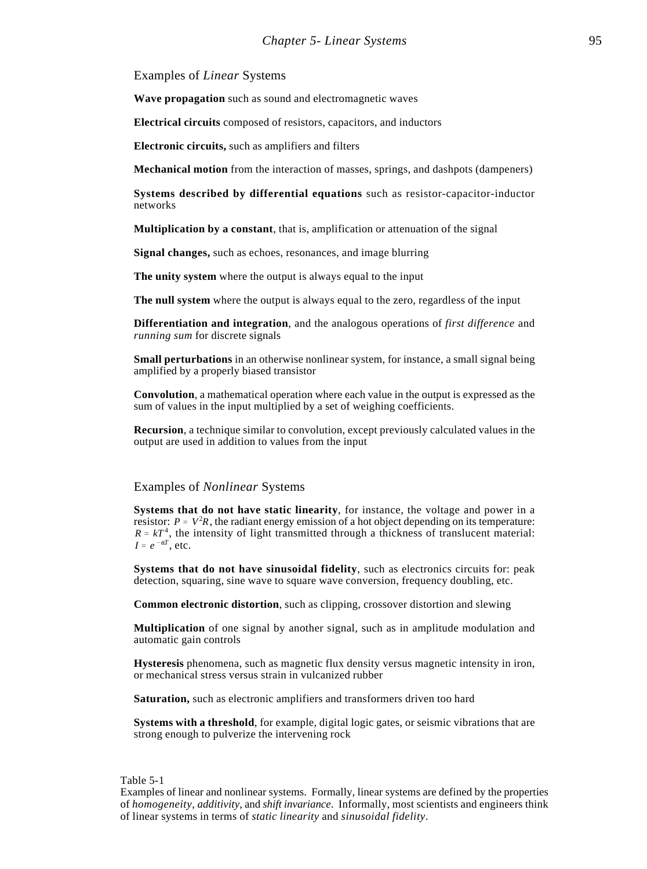Examples of *Linear* Systems

**Wave propagation** such as sound and electromagnetic waves

**Electrical circuits** composed of resistors, capacitors, and inductors

**Electronic circuits,** such as amplifiers and filters

**Mechanical motion** from the interaction of masses, springs, and dashpots (dampeners)

**Systems described by differential equations** such as resistor-capacitor-inductor networks

**Multiplication by a constant**, that is, amplification or attenuation of the signal

**Signal changes,** such as echoes, resonances, and image blurring

**The unity system** where the output is always equal to the input

**The null system** where the output is always equal to the zero, regardless of the input

**Differentiation and integration**, and the analogous operations of *first difference* and *running sum* for discrete signals

**Small perturbations** in an otherwise nonlinear system, for instance, a small signal being amplified by a properly biased transistor

**Convolution**, a mathematical operation where each value in the output is expressed as the sum of values in the input multiplied by a set of weighing coefficients.

**Recursion**, a technique similar to convolution, except previously calculated values in the output are used in addition to values from the input

#### Examples of *Nonlinear* Systems

**Systems that do not have static linearity**, for instance, the voltage and power in a resistor:  $P = V^2 R$ , the radiant energy emission of a hot object depending on its temperature:  $R = kT<sup>4</sup>$ , the intensity of light transmitted through a thickness of translucent material:  $I = e^{-\alpha T}$ , etc.

**Systems that do not have sinusoidal fidelity**, such as electronics circuits for: peak detection, squaring, sine wave to square wave conversion, frequency doubling, etc.

**Common electronic distortion**, such as clipping, crossover distortion and slewing

**Multiplication** of one signal by another signal, such as in amplitude modulation and automatic gain controls

**Hysteresis** phenomena, such as magnetic flux density versus magnetic intensity in iron, or mechanical stress versus strain in vulcanized rubber

**Saturation,** such as electronic amplifiers and transformers driven too hard

**Systems with a threshold**, for example, digital logic gates, or seismic vibrations that are strong enough to pulverize the intervening rock

#### Table 5-1

Examples of linear and nonlinear systems. Formally, linear systems are defined by the properties of *homogeneity*, *additivity*, and *shift invariance*. Informally, most scientists and engineers think of linear systems in terms of *static linearity* and *sinusoidal fidelity*.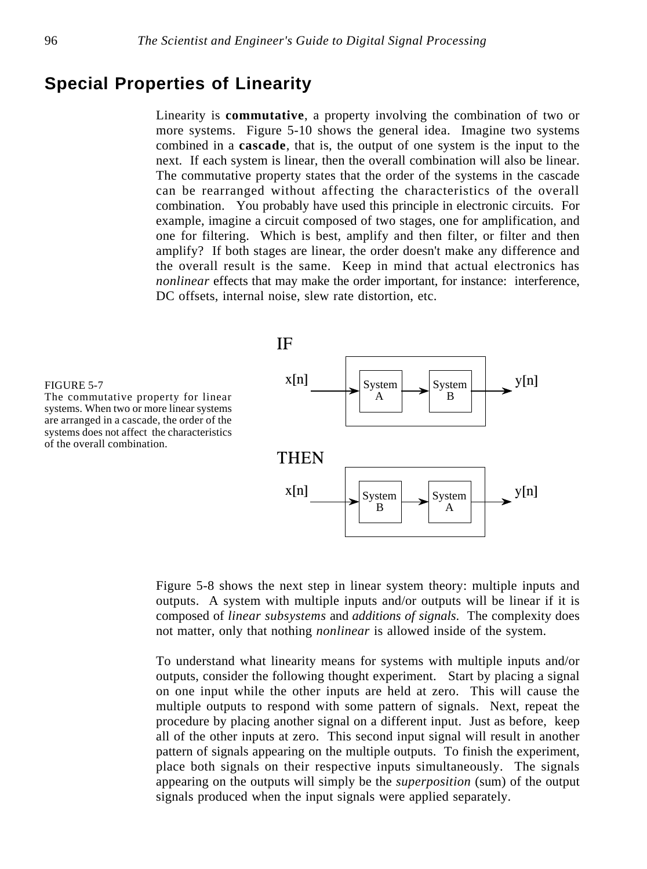## **Special Properties of Linearity**

Linearity is **commutative**, a property involving the combination of two or more systems. Figure 5-10 shows the general idea. Imagine two systems combined in a **cascade**, that is, the output of one system is the input to the next. If each system is linear, then the overall combination will also be linear. The commutative property states that the order of the systems in the cascade can be rearranged without affecting the characteristics of the overall combination. You probably have used this principle in electronic circuits. For example, imagine a circuit composed of two stages, one for amplification, and one for filtering. Which is best, amplify and then filter, or filter and then amplify? If both stages are linear, the order doesn't make any difference and the overall result is the same. Keep in mind that actual electronics has *nonlinear* effects that may make the order important, for instance: interference, DC offsets, internal noise, slew rate distortion, etc.



Figure 5-8 shows the next step in linear system theory: multiple inputs and outputs. A system with multiple inputs and/or outputs will be linear if it is composed of *linear subsystems* and *additions of signals*. The complexity does not matter, only that nothing *nonlinear* is allowed inside of the system.

To understand what linearity means for systems with multiple inputs and/or outputs, consider the following thought experiment. Start by placing a signal on one input while the other inputs are held at zero. This will cause the multiple outputs to respond with some pattern of signals. Next, repeat the procedure by placing another signal on a different input. Just as before, keep all of the other inputs at zero. This second input signal will result in another pattern of signals appearing on the multiple outputs. To finish the experiment, place both signals on their respective inputs simultaneously. The signals appearing on the outputs will simply be the *superposition* (sum) of the output signals produced when the input signals were applied separately.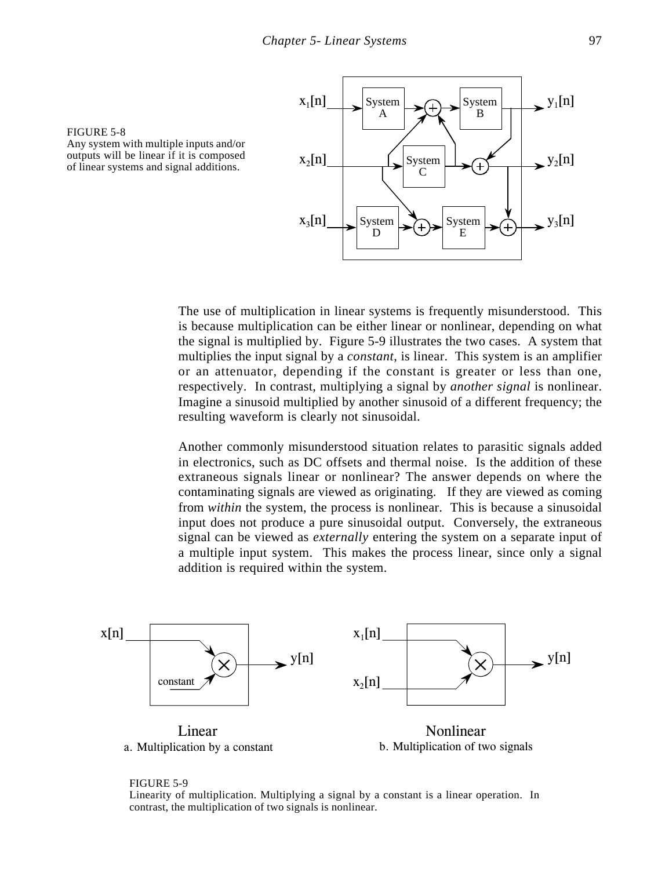



The use of multiplication in linear systems is frequently misunderstood. This is because multiplication can be either linear or nonlinear, depending on what the signal is multiplied by. Figure 5-9 illustrates the two cases. A system that multiplies the input signal by a *constant*, is linear. This system is an amplifier or an attenuator, depending if the constant is greater or less than one, respectively. In contrast, multiplying a signal by *another signal* is nonlinear. Imagine a sinusoid multiplied by another sinusoid of a different frequency; the resulting waveform is clearly not sinusoidal.

Another commonly misunderstood situation relates to parasitic signals added in electronics, such as DC offsets and thermal noise. Is the addition of these extraneous signals linear or nonlinear? The answer depends on where the contaminating signals are viewed as originating. If they are viewed as coming from *within* the system, the process is nonlinear. This is because a sinusoidal input does not produce a pure sinusoidal output. Conversely, the extraneous signal can be viewed as *externally* entering the system on a separate input of a multiple input system. This makes the process linear, since only a signal addition is required within the system.



FIGURE 5-9

Linearity of multiplication. Multiplying a signal by a constant is a linear operation. In contrast, the multiplication of two signals is nonlinear.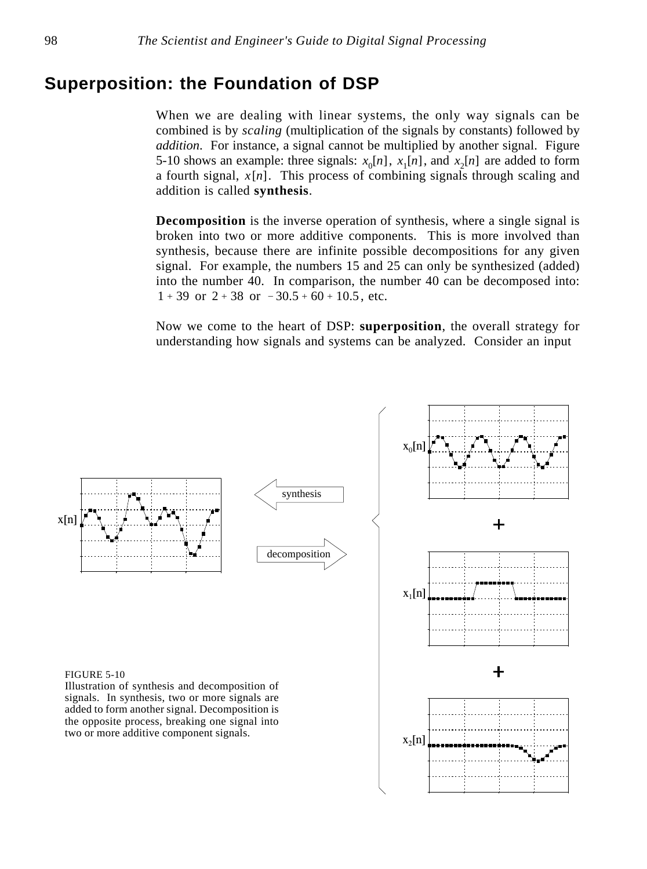## **Superposition: the Foundation of DSP**

When we are dealing with linear systems, the only way signals can be combined is by *scaling* (multiplication of the signals by constants) followed by *addition*. For instance, a signal cannot be multiplied by another signal. Figure 5-10 shows an example: three signals:  $x_0[n]$ ,  $x_1[n]$ , and  $x_2[n]$  are added to form a fourth signal,  $x[n]$ . This process of combining signals through scaling and addition is called **synthesis**.

**Decomposition** is the inverse operation of synthesis, where a single signal is broken into two or more additive components. This is more involved than synthesis, because there are infinite possible decompositions for any given signal. For example, the numbers 15 and 25 can only be synthesized (added) into the number 40. In comparison, the number 40 can be decomposed into:  $1 + 39$  or  $2 + 38$  or  $-30.5 + 60 + 10.5$ , etc.

Now we come to the heart of DSP: **superposition**, the overall strategy for understanding how signals and systems can be analyzed. Consider an input

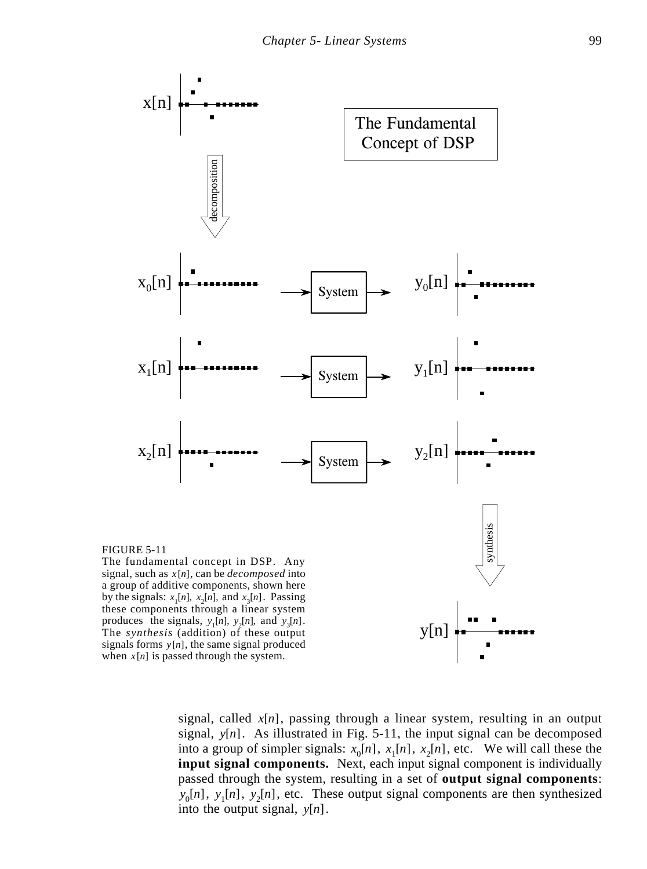

signal, called *x*[*n*], passing through a linear system, resulting in an output signal, *y*[*n*]. As illustrated in Fig. 5-11, the input signal can be decomposed into a group of simpler signals:  $x_0[n]$ ,  $x_1[n]$ ,  $x_2[n]$ , etc. We will call these the **input signal components.** Next, each input signal component is individually passed through the system, resulting in a set of **output signal components**:  $y_0[n]$ ,  $y_1[n]$ ,  $y_2[n]$ , etc. These output signal components are then synthesized into the output signal, *y*[*n*].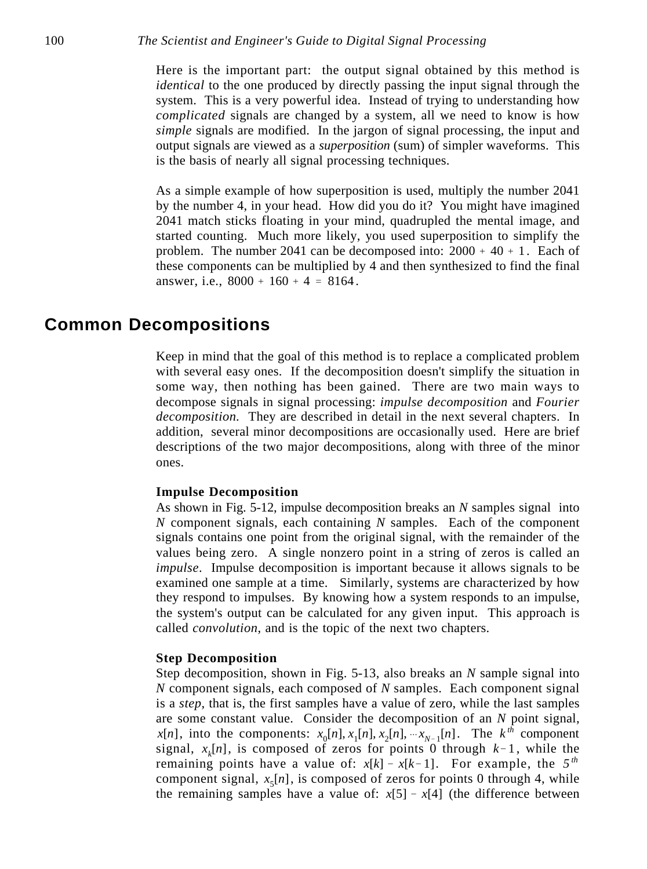Here is the important part: the output signal obtained by this method is *identical* to the one produced by directly passing the input signal through the system. This is a very powerful idea. Instead of trying to understanding how *complicated* signals are changed by a system, all we need to know is how *simple* signals are modified. In the jargon of signal processing, the input and output signals are viewed as a *superposition* (sum) of simpler waveforms. This is the basis of nearly all signal processing techniques.

As a simple example of how superposition is used, multiply the number 2041 by the number 4, in your head. How did you do it? You might have imagined 2041 match sticks floating in your mind, quadrupled the mental image, and started counting. Much more likely, you used superposition to simplify the problem. The number 2041 can be decomposed into:  $2000 + 40 + 1$ . Each of these components can be multiplied by 4 and then synthesized to find the final answer, i.e.,  $8000 + 160 + 4 = 8164$ .

## **Common Decompositions**

Keep in mind that the goal of this method is to replace a complicated problem with several easy ones. If the decomposition doesn't simplify the situation in some way, then nothing has been gained. There are two main ways to decompose signals in signal processing: *impulse decomposition* and *Fourier decomposition.* They are described in detail in the next several chapters. In addition, several minor decompositions are occasionally used. Here are brief descriptions of the two major decompositions, along with three of the minor ones.

## **Impulse Decomposition**

As shown in Fig. 5-12, impulse decomposition breaks an *N* samples signal into *N* component signals, each containing *N* samples. Each of the component signals contains one point from the original signal, with the remainder of the values being zero. A single nonzero point in a string of zeros is called an *impulse*. Impulse decomposition is important because it allows signals to be examined one sample at a time. Similarly, systems are characterized by how they respond to impulses. By knowing how a system responds to an impulse, the system's output can be calculated for any given input. This approach is called *convolution*, and is the topic of the next two chapters.

## **Step Decomposition**

Step decomposition, shown in Fig. 5-13, also breaks an *N* sample signal into *N* component signals, each composed of *N* samples. Each component signal is a *step*, that is, the first samples have a value of zero, while the last samples are some constant value. Consider the decomposition of an *N* point signal,  $x[n]$ , into the components:  $x_0[n], x_1[n], x_2[n], \dots x_{N-1}[n]$ . The  $k^{th}$  component signal,  $x_k[n]$ , is composed of zeros for points 0 through  $k-1$ , while the remaining points have a value of:  $x[k]$  -  $x[k-1]$ . For example, the 5<sup>th</sup> component signal,  $x_5[n]$ , is composed of zeros for points 0 through 4, while the remaining samples have a value of:  $x[5] - x[4]$  (the difference between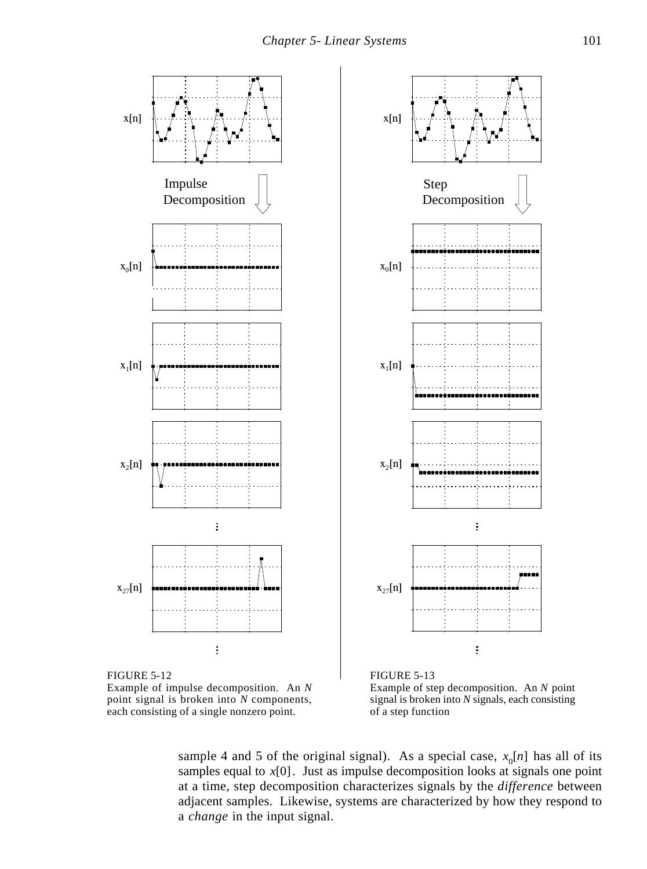





Example of step decomposition. An *N* point signal is broken into *N* signals, each consisting of a step function

sample 4 and 5 of the original signal). As a special case,  $x_0[n]$  has all of its samples equal to *x*[0]. Just as impulse decomposition looks at signals one point at a time, step decomposition characterizes signals by the *difference* between adjacent samples. Likewise, systems are characterized by how they respond to a *change* in the input signal.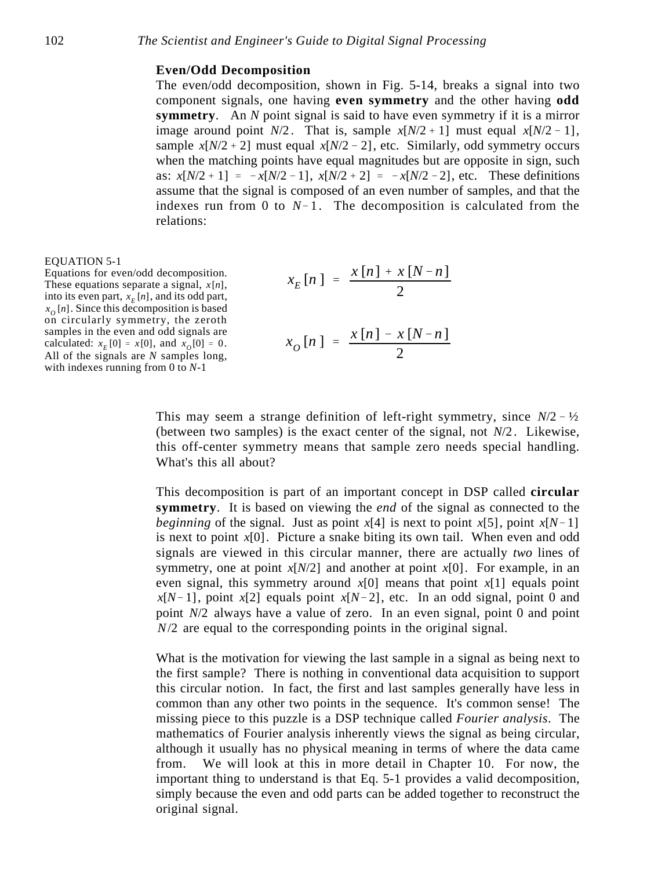## **Even/Odd Decomposition**

The even/odd decomposition, shown in Fig. 5-14, breaks a signal into two component signals, one having **even symmetry** and the other having **odd symmetry.** An *N* point signal is said to have even symmetry if it is a mirror image around point  $N/2$ . That is, sample  $x[N/2 + 1]$  must equal  $x[N/2 - 1]$ , sample  $x[N/2 + 2]$  must equal  $x[N/2 - 2]$ , etc. Similarly, odd symmetry occurs when the matching points have equal magnitudes but are opposite in sign, such as:  $x[N/2 + 1] = -x[N/2 - 1], x[N/2 + 2] = -x[N/2 - 2],$  etc. These definitions assume that the signal is composed of an even number of samples, and that the indexes run from 0 to  $N-1$ . The decomposition is calculated from the relations:

#### EQUATION 5-1

Equations for even/odd decomposition. These equations separate a signal, *x* [*n*], into its even part,  $x_E[n]$ , and its odd part,  $x_o$  [*n*]. Since this decomposition is based on circularly symmetry, the zeroth samples in the even and odd signals are calculated:  $x_E[0] = x[0]$ , and  $x_O[0] = 0$ . All of the signals are *N* samples long, with indexes running from 0 to *N*-1

$$
x_E[n] = \frac{x[n] + x[N-n]}{2}
$$

$$
x_O[n] = \frac{x[n] - x[N-n]}{2}
$$

This may seem a strange definition of left-right symmetry, since  $N/2 - \frac{1}{2}$ (between two samples) is the exact center of the signal, not *N*/2 . Likewise, this off-center symmetry means that sample zero needs special handling. What's this all about?

This decomposition is part of an important concept in DSP called **circular symmetry**. It is based on viewing the *end* of the signal as connected to the *beginning* of the signal. Just as point  $x[4]$  is next to point  $x[5]$ , point  $x[N-1]$ is next to point *x*[0]. Picture a snake biting its own tail. When even and odd signals are viewed in this circular manner, there are actually *two* lines of symmetry, one at point *x*[*N*/2] and another at point *x*[0]. For example, in an even signal, this symmetry around  $x[0]$  means that point  $x[1]$  equals point  $x[N-1]$ , point  $x[2]$  equals point  $x[N-2]$ , etc. In an odd signal, point 0 and point *N*/2 always have a value of zero. In an even signal, point 0 and point *N*/2 are equal to the corresponding points in the original signal.

What is the motivation for viewing the last sample in a signal as being next to the first sample? There is nothing in conventional data acquisition to support this circular notion. In fact, the first and last samples generally have less in common than any other two points in the sequence. It's common sense! The missing piece to this puzzle is a DSP technique called *Fourier analysis*. The mathematics of Fourier analysis inherently views the signal as being circular, although it usually has no physical meaning in terms of where the data came from. We will look at this in more detail in Chapter 10. For now, the important thing to understand is that Eq. 5-1 provides a valid decomposition, simply because the even and odd parts can be added together to reconstruct the original signal.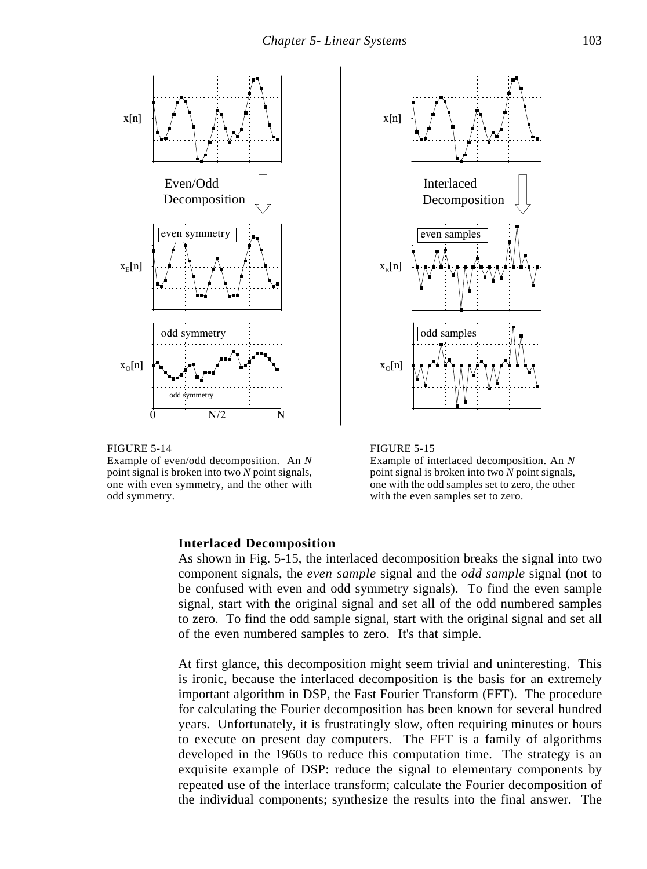



FIGURE 5-14

Example of even/odd decomposition. An *N* point signal is broken into two *N* point signals, one with even symmetry, and the other with odd symmetry.

FIGURE 5-15 Example of interlaced decomposition. An *N* point signal is broken into two *N* point signals, one with the odd samples set to zero, the other

with the even samples set to zero.

#### **Interlaced Decomposition**

As shown in Fig. 5-15, the interlaced decomposition breaks the signal into two component signals, the *even sample* signal and the *odd sample* signal (not to be confused with even and odd symmetry signals). To find the even sample signal, start with the original signal and set all of the odd numbered samples to zero. To find the odd sample signal, start with the original signal and set all of the even numbered samples to zero. It's that simple.

At first glance, this decomposition might seem trivial and uninteresting. This is ironic, because the interlaced decomposition is the basis for an extremely important algorithm in DSP, the Fast Fourier Transform (FFT). The procedure for calculating the Fourier decomposition has been known for several hundred years. Unfortunately, it is frustratingly slow, often requiring minutes or hours to execute on present day computers. The FFT is a family of algorithms developed in the 1960s to reduce this computation time. The strategy is an exquisite example of DSP: reduce the signal to elementary components by repeated use of the interlace transform; calculate the Fourier decomposition of the individual components; synthesize the results into the final answer. The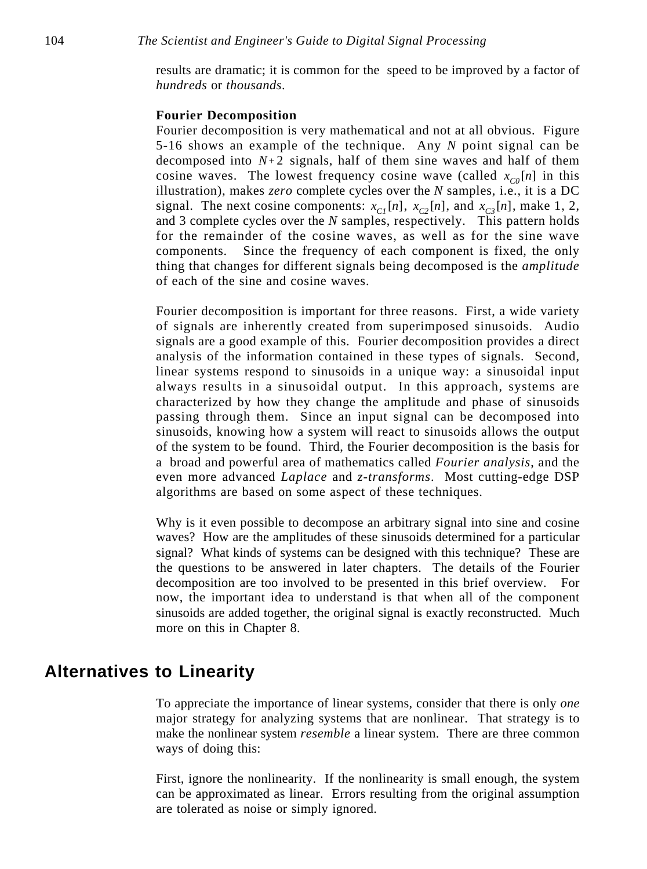results are dramatic; it is common for the speed to be improved by a factor of *hundreds* or *thousands*.

#### **Fourier Decomposition**

Fourier decomposition is very mathematical and not at all obvious. Figure 5-16 shows an example of the technique. Any *N* point signal can be decomposed into  $N+2$  signals, half of them sine waves and half of them cosine waves. The lowest frequency cosine wave (called  $x_{c0}[n]$  in this illustration), makes *zero* complete cycles over the *N* samples, i.e., it is a DC signal. The next cosine components:  $x_{C1}[n]$ ,  $x_{C2}[n]$ , and  $x_{C3}[n]$ , make 1, 2, and 3 complete cycles over the *N* samples, respectively. This pattern holds for the remainder of the cosine waves, as well as for the sine wave components. Since the frequency of each component is fixed, the only thing that changes for different signals being decomposed is the *amplitude* of each of the sine and cosine waves.

Fourier decomposition is important for three reasons. First, a wide variety of signals are inherently created from superimposed sinusoids. Audio signals are a good example of this. Fourier decomposition provides a direct analysis of the information contained in these types of signals. Second, linear systems respond to sinusoids in a unique way: a sinusoidal input always results in a sinusoidal output. In this approach, systems are characterized by how they change the amplitude and phase of sinusoids passing through them. Since an input signal can be decomposed into sinusoids, knowing how a system will react to sinusoids allows the output of the system to be found. Third, the Fourier decomposition is the basis for a broad and powerful area of mathematics called *Fourier analysis*, and the even more advanced *Laplace* and *z-transforms*. Most cutting-edge DSP algorithms are based on some aspect of these techniques.

Why is it even possible to decompose an arbitrary signal into sine and cosine waves? How are the amplitudes of these sinusoids determined for a particular signal? What kinds of systems can be designed with this technique? These are the questions to be answered in later chapters. The details of the Fourier decomposition are too involved to be presented in this brief overview. For now, the important idea to understand is that when all of the component sinusoids are added together, the original signal is exactly reconstructed. Much more on this in Chapter 8.

## **Alternatives to Linearity**

To appreciate the importance of linear systems, consider that there is only *one* major strategy for analyzing systems that are nonlinear. That strategy is to make the nonlinear system *resemble* a linear system. There are three common ways of doing this:

First, ignore the nonlinearity. If the nonlinearity is small enough, the system can be approximated as linear. Errors resulting from the original assumption are tolerated as noise or simply ignored.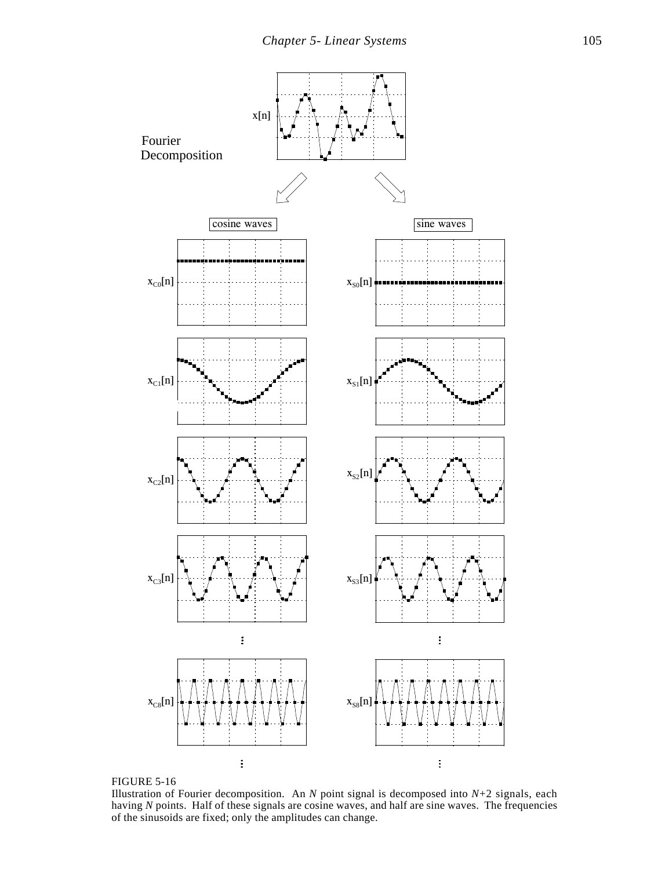

FIGURE 5-16

Illustration of Fourier decomposition. An *N* point signal is decomposed into *N*+2 signals, each having *N* points. Half of these signals are cosine waves, and half are sine waves. The frequencies of the sinusoids are fixed; only the amplitudes can change.